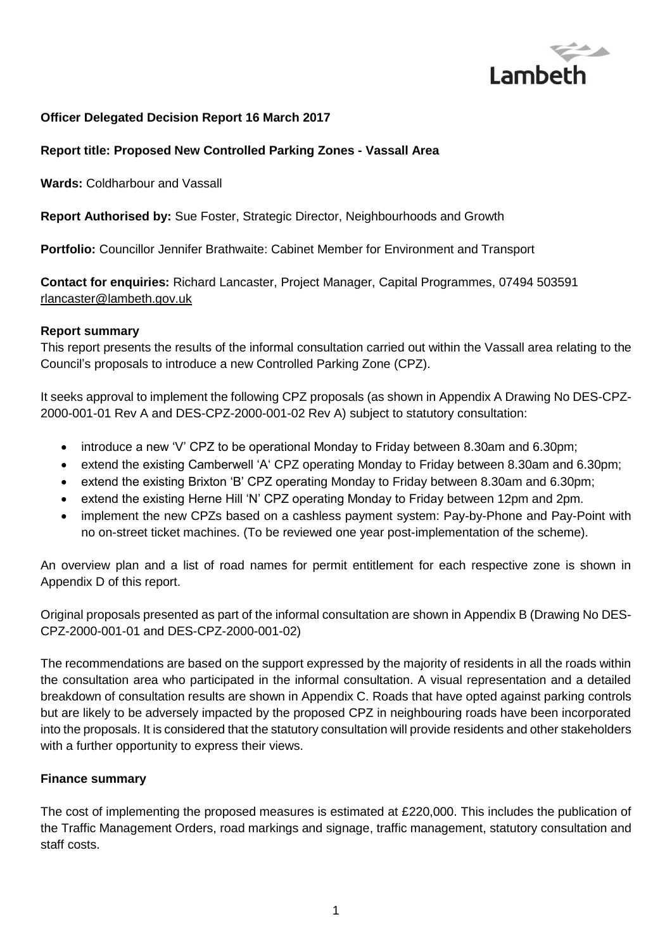

#### **Officer Delegated Decision Report 16 March 2017**

#### **Report title: Proposed New Controlled Parking Zones - Vassall Area**

**Wards:** Coldharbour and Vassall

**Report Authorised by:** Sue Foster, Strategic Director, Neighbourhoods and Growth

**Portfolio:** Councillor Jennifer Brathwaite: Cabinet Member for Environment and Transport

**Contact for enquiries:** Richard Lancaster, Project Manager, Capital Programmes, 07494 503591 [rlancaster@lambeth.gov.uk](mailto:rlancaster@lambeth.gov.uk)

#### **Report summary**

This report presents the results of the informal consultation carried out within the Vassall area relating to the Council's proposals to introduce a new Controlled Parking Zone (CPZ).

It seeks approval to implement the following CPZ proposals (as shown in Appendix A Drawing No DES-CPZ-2000-001-01 Rev A and DES-CPZ-2000-001-02 Rev A) subject to statutory consultation:

- introduce a new 'V' CPZ to be operational Monday to Friday between 8.30am and 6.30pm;
- extend the existing Camberwell 'A' CPZ operating Monday to Friday between 8.30am and 6.30pm;
- extend the existing Brixton 'B' CPZ operating Monday to Friday between 8.30am and 6.30pm;
- extend the existing Herne Hill 'N' CPZ operating Monday to Friday between 12pm and 2pm.
- implement the new CPZs based on a cashless payment system: Pay-by-Phone and Pay-Point with no on-street ticket machines. (To be reviewed one year post-implementation of the scheme).

An overview plan and a list of road names for permit entitlement for each respective zone is shown in Appendix D of this report.

Original proposals presented as part of the informal consultation are shown in Appendix B (Drawing No DES-CPZ-2000-001-01 and DES-CPZ-2000-001-02)

The recommendations are based on the support expressed by the majority of residents in all the roads within the consultation area who participated in the informal consultation. A visual representation and a detailed breakdown of consultation results are shown in Appendix C. Roads that have opted against parking controls but are likely to be adversely impacted by the proposed CPZ in neighbouring roads have been incorporated into the proposals. It is considered that the statutory consultation will provide residents and other stakeholders with a further opportunity to express their views.

#### **Finance summary**

The cost of implementing the proposed measures is estimated at £220,000. This includes the publication of the Traffic Management Orders, road markings and signage, traffic management, statutory consultation and staff costs.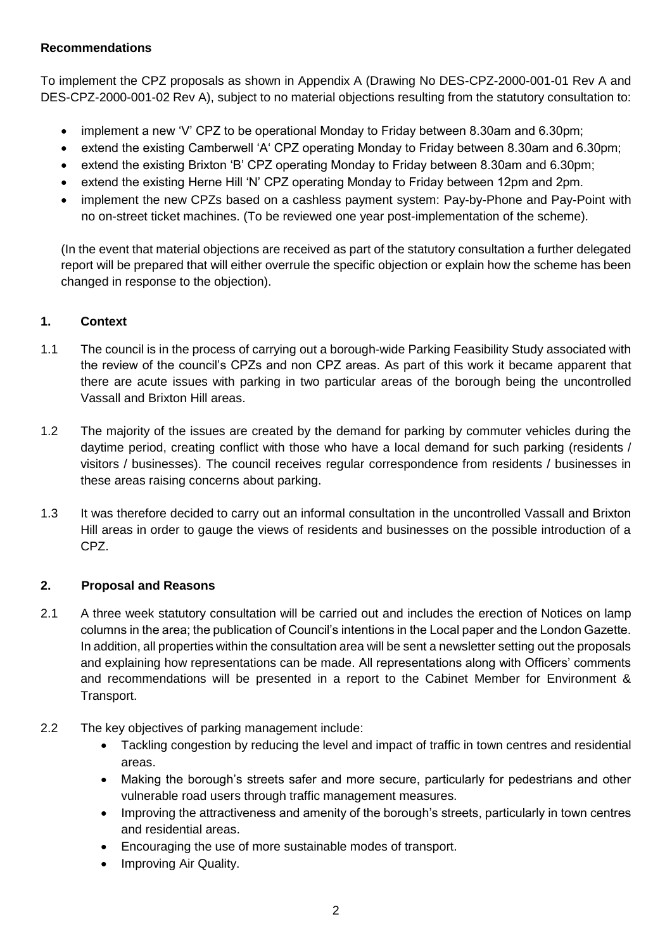## **Recommendations**

To implement the CPZ proposals as shown in Appendix A (Drawing No DES-CPZ-2000-001-01 Rev A and DES-CPZ-2000-001-02 Rev A), subject to no material objections resulting from the statutory consultation to:

- implement a new 'V' CPZ to be operational Monday to Friday between 8.30am and 6.30pm;
- extend the existing Camberwell 'A' CPZ operating Monday to Friday between 8.30am and 6.30pm;
- extend the existing Brixton 'B' CPZ operating Monday to Friday between 8.30am and 6.30pm;
- extend the existing Herne Hill 'N' CPZ operating Monday to Friday between 12pm and 2pm.
- implement the new CPZs based on a cashless payment system: Pay-by-Phone and Pay-Point with no on-street ticket machines. (To be reviewed one year post-implementation of the scheme).

(In the event that material objections are received as part of the statutory consultation a further delegated report will be prepared that will either overrule the specific objection or explain how the scheme has been changed in response to the objection).

# **1. Context**

- 1.1 The council is in the process of carrying out a borough-wide Parking Feasibility Study associated with the review of the council's CPZs and non CPZ areas. As part of this work it became apparent that there are acute issues with parking in two particular areas of the borough being the uncontrolled Vassall and Brixton Hill areas.
- 1.2 The majority of the issues are created by the demand for parking by commuter vehicles during the daytime period, creating conflict with those who have a local demand for such parking (residents / visitors / businesses). The council receives regular correspondence from residents / businesses in these areas raising concerns about parking.
- 1.3 It was therefore decided to carry out an informal consultation in the uncontrolled Vassall and Brixton Hill areas in order to gauge the views of residents and businesses on the possible introduction of a CPZ.

# **2. Proposal and Reasons**

- 2.1 A three week statutory consultation will be carried out and includes the erection of Notices on lamp columns in the area; the publication of Council's intentions in the Local paper and the London Gazette. In addition, all properties within the consultation area will be sent a newsletter setting out the proposals and explaining how representations can be made. All representations along with Officers' comments and recommendations will be presented in a report to the Cabinet Member for Environment & Transport.
- 2.2 The key objectives of parking management include:
	- Tackling congestion by reducing the level and impact of traffic in town centres and residential areas.
	- Making the borough's streets safer and more secure, particularly for pedestrians and other vulnerable road users through traffic management measures.
	- Improving the attractiveness and amenity of the borough's streets, particularly in town centres and residential areas.
	- Encouraging the use of more sustainable modes of transport.
	- Improving Air Quality.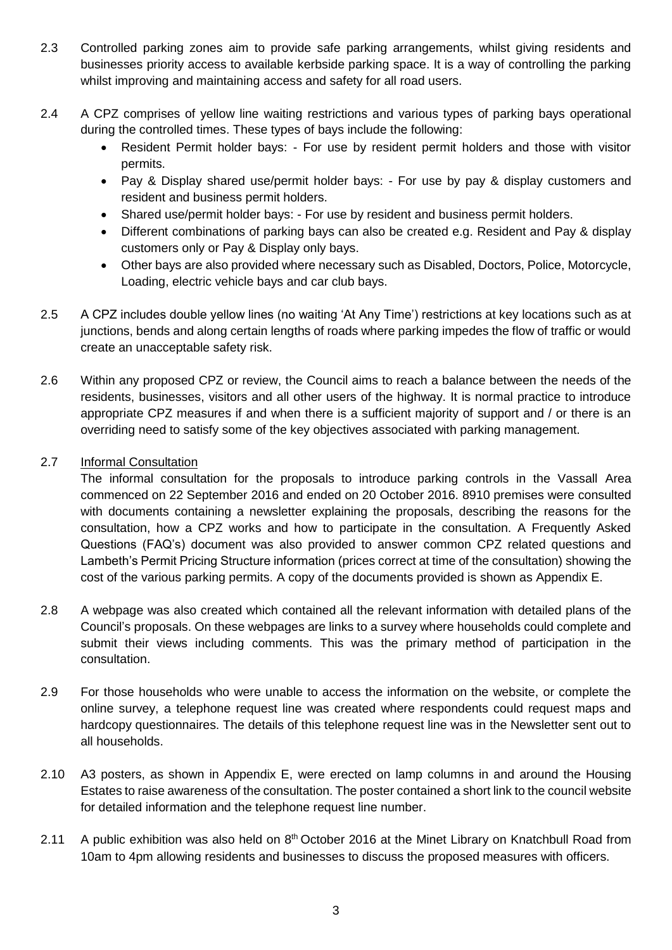- 2.3 Controlled parking zones aim to provide safe parking arrangements, whilst giving residents and businesses priority access to available kerbside parking space. It is a way of controlling the parking whilst improving and maintaining access and safety for all road users.
- 2.4 A CPZ comprises of yellow line waiting restrictions and various types of parking bays operational during the controlled times. These types of bays include the following:
	- Resident Permit holder bays: For use by resident permit holders and those with visitor permits.
	- Pay & Display shared use/permit holder bays: For use by pay & display customers and resident and business permit holders.
	- Shared use/permit holder bays: For use by resident and business permit holders.
	- Different combinations of parking bays can also be created e.g. Resident and Pay & display customers only or Pay & Display only bays.
	- Other bays are also provided where necessary such as Disabled, Doctors, Police, Motorcycle, Loading, electric vehicle bays and car club bays.
- 2.5 A CPZ includes double yellow lines (no waiting 'At Any Time') restrictions at key locations such as at junctions, bends and along certain lengths of roads where parking impedes the flow of traffic or would create an unacceptable safety risk.
- 2.6 Within any proposed CPZ or review, the Council aims to reach a balance between the needs of the residents, businesses, visitors and all other users of the highway. It is normal practice to introduce appropriate CPZ measures if and when there is a sufficient majority of support and / or there is an overriding need to satisfy some of the key objectives associated with parking management.

## 2.7 Informal Consultation

The informal consultation for the proposals to introduce parking controls in the Vassall Area commenced on 22 September 2016 and ended on 20 October 2016. 8910 premises were consulted with documents containing a newsletter explaining the proposals, describing the reasons for the consultation, how a CPZ works and how to participate in the consultation. A Frequently Asked Questions (FAQ's) document was also provided to answer common CPZ related questions and Lambeth's Permit Pricing Structure information (prices correct at time of the consultation) showing the cost of the various parking permits. A copy of the documents provided is shown as Appendix E.

- 2.8 A webpage was also created which contained all the relevant information with detailed plans of the Council's proposals. On these webpages are links to a survey where households could complete and submit their views including comments. This was the primary method of participation in the consultation.
- 2.9 For those households who were unable to access the information on the website, or complete the online survey, a telephone request line was created where respondents could request maps and hardcopy questionnaires. The details of this telephone request line was in the Newsletter sent out to all households.
- 2.10 A3 posters, as shown in Appendix E, were erected on lamp columns in and around the Housing Estates to raise awareness of the consultation. The poster contained a short link to the council website for detailed information and the telephone request line number.
- 2.11 A public exhibition was also held on  $8<sup>th</sup>$  October 2016 at the Minet Library on Knatchbull Road from 10am to 4pm allowing residents and businesses to discuss the proposed measures with officers.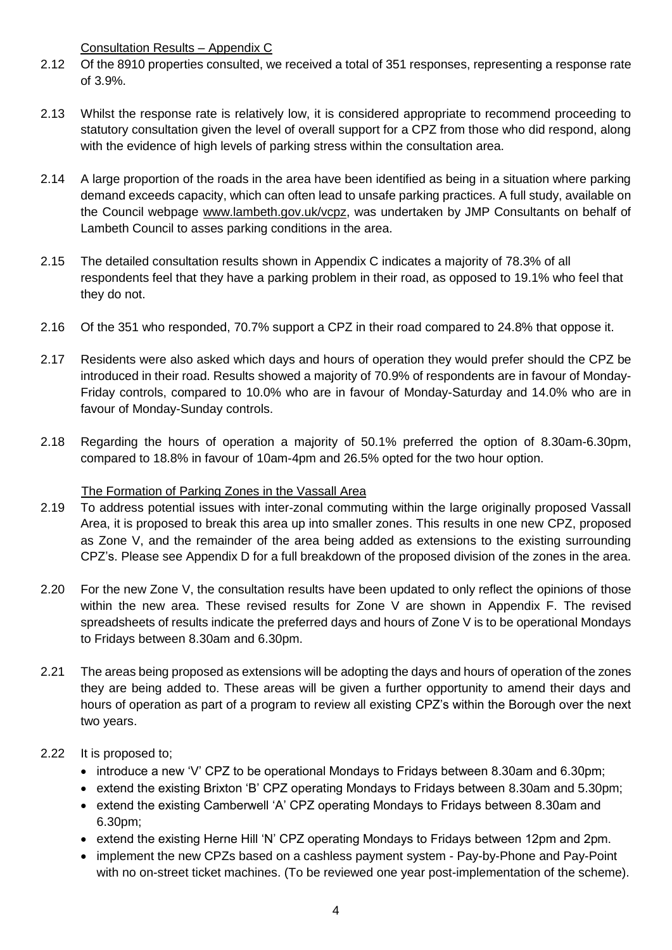Consultation Results – Appendix C

- 2.12 Of the 8910 properties consulted, we received a total of 351 responses, representing a response rate of 3.9%.
- 2.13 Whilst the response rate is relatively low, it is considered appropriate to recommend proceeding to statutory consultation given the level of overall support for a CPZ from those who did respond, along with the evidence of high levels of parking stress within the consultation area.
- 2.14 A large proportion of the roads in the area have been identified as being in a situation where parking demand exceeds capacity, which can often lead to unsafe parking practices. A full study, available on the Council webpage [www.lambeth.gov.uk/vcpz,](http://www.lambeth.gov.uk/vcpz) was undertaken by JMP Consultants on behalf of Lambeth Council to asses parking conditions in the area.
- 2.15 The detailed consultation results shown in Appendix C indicates a majority of 78.3% of all respondents feel that they have a parking problem in their road, as opposed to 19.1% who feel that they do not.
- 2.16 Of the 351 who responded, 70.7% support a CPZ in their road compared to 24.8% that oppose it.
- 2.17 Residents were also asked which days and hours of operation they would prefer should the CPZ be introduced in their road. Results showed a majority of 70.9% of respondents are in favour of Monday-Friday controls, compared to 10.0% who are in favour of Monday-Saturday and 14.0% who are in favour of Monday-Sunday controls.
- 2.18 Regarding the hours of operation a majority of 50.1% preferred the option of 8.30am-6.30pm, compared to 18.8% in favour of 10am-4pm and 26.5% opted for the two hour option.

# The Formation of Parking Zones in the Vassall Area

- 2.19 To address potential issues with inter-zonal commuting within the large originally proposed Vassall Area, it is proposed to break this area up into smaller zones. This results in one new CPZ, proposed as Zone V, and the remainder of the area being added as extensions to the existing surrounding CPZ's. Please see Appendix D for a full breakdown of the proposed division of the zones in the area.
- 2.20 For the new Zone V, the consultation results have been updated to only reflect the opinions of those within the new area. These revised results for Zone V are shown in Appendix F. The revised spreadsheets of results indicate the preferred days and hours of Zone V is to be operational Mondays to Fridays between 8.30am and 6.30pm.
- 2.21 The areas being proposed as extensions will be adopting the days and hours of operation of the zones they are being added to. These areas will be given a further opportunity to amend their days and hours of operation as part of a program to review all existing CPZ's within the Borough over the next two years.

# 2.22 It is proposed to;

- introduce a new 'V' CPZ to be operational Mondays to Fridays between 8.30am and 6.30pm;
- extend the existing Brixton 'B' CPZ operating Mondays to Fridays between 8.30am and 5.30pm;
- extend the existing Camberwell 'A' CPZ operating Mondays to Fridays between 8.30am and 6.30pm;
- extend the existing Herne Hill 'N' CPZ operating Mondays to Fridays between 12pm and 2pm.
- implement the new CPZs based on a cashless payment system Pay-by-Phone and Pay-Point with no on-street ticket machines. (To be reviewed one year post-implementation of the scheme).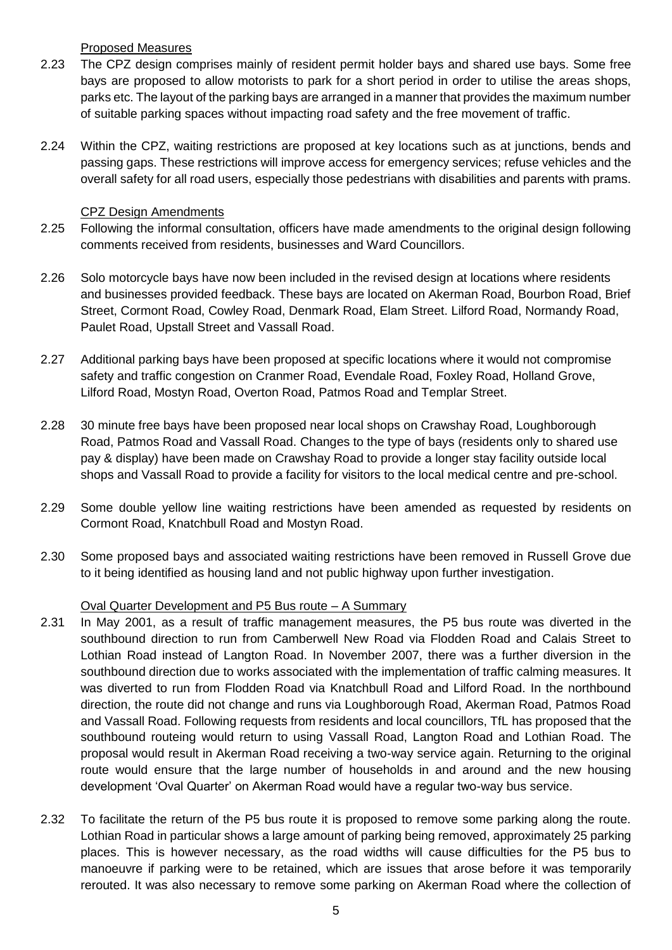#### Proposed Measures

- 2.23 The CPZ design comprises mainly of resident permit holder bays and shared use bays. Some free bays are proposed to allow motorists to park for a short period in order to utilise the areas shops, parks etc. The layout of the parking bays are arranged in a manner that provides the maximum number of suitable parking spaces without impacting road safety and the free movement of traffic.
- 2.24 Within the CPZ, waiting restrictions are proposed at key locations such as at junctions, bends and passing gaps. These restrictions will improve access for emergency services; refuse vehicles and the overall safety for all road users, especially those pedestrians with disabilities and parents with prams.

#### CPZ Design Amendments

- 2.25 Following the informal consultation, officers have made amendments to the original design following comments received from residents, businesses and Ward Councillors.
- 2.26 Solo motorcycle bays have now been included in the revised design at locations where residents and businesses provided feedback. These bays are located on Akerman Road, Bourbon Road, Brief Street, Cormont Road, Cowley Road, Denmark Road, Elam Street. Lilford Road, Normandy Road, Paulet Road, Upstall Street and Vassall Road.
- 2.27 Additional parking bays have been proposed at specific locations where it would not compromise safety and traffic congestion on Cranmer Road, Evendale Road, Foxley Road, Holland Grove, Lilford Road, Mostyn Road, Overton Road, Patmos Road and Templar Street.
- 2.28 30 minute free bays have been proposed near local shops on Crawshay Road, Loughborough Road, Patmos Road and Vassall Road. Changes to the type of bays (residents only to shared use pay & display) have been made on Crawshay Road to provide a longer stay facility outside local shops and Vassall Road to provide a facility for visitors to the local medical centre and pre-school.
- 2.29 Some double yellow line waiting restrictions have been amended as requested by residents on Cormont Road, Knatchbull Road and Mostyn Road.
- 2.30 Some proposed bays and associated waiting restrictions have been removed in Russell Grove due to it being identified as housing land and not public highway upon further investigation.

# Oval Quarter Development and P5 Bus route – A Summary

- 2.31 In May 2001, as a result of traffic management measures, the P5 bus route was diverted in the southbound direction to run from Camberwell New Road via Flodden Road and Calais Street to Lothian Road instead of Langton Road. In November 2007, there was a further diversion in the southbound direction due to works associated with the implementation of traffic calming measures. It was diverted to run from Flodden Road via Knatchbull Road and Lilford Road. In the northbound direction, the route did not change and runs via Loughborough Road, Akerman Road, Patmos Road and Vassall Road. Following requests from residents and local councillors, TfL has proposed that the southbound routeing would return to using Vassall Road, Langton Road and Lothian Road. The proposal would result in Akerman Road receiving a two-way service again. Returning to the original route would ensure that the large number of households in and around and the new housing development 'Oval Quarter' on Akerman Road would have a regular two-way bus service.
- 2.32 To facilitate the return of the P5 bus route it is proposed to remove some parking along the route. Lothian Road in particular shows a large amount of parking being removed, approximately 25 parking places. This is however necessary, as the road widths will cause difficulties for the P5 bus to manoeuvre if parking were to be retained, which are issues that arose before it was temporarily rerouted. It was also necessary to remove some parking on Akerman Road where the collection of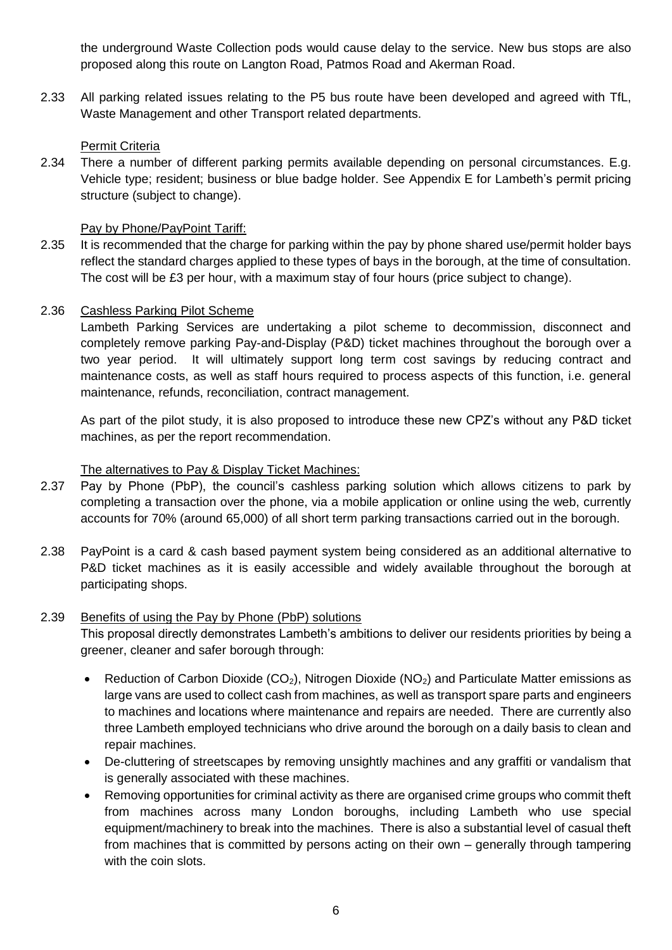the underground Waste Collection pods would cause delay to the service. New bus stops are also proposed along this route on Langton Road, Patmos Road and Akerman Road.

2.33 All parking related issues relating to the P5 bus route have been developed and agreed with TfL, Waste Management and other Transport related departments.

#### Permit Criteria

2.34 There a number of different parking permits available depending on personal circumstances. E.g. Vehicle type; resident; business or blue badge holder. See Appendix E for Lambeth's permit pricing structure (subject to change).

## Pay by Phone/PayPoint Tariff:

2.35 It is recommended that the charge for parking within the pay by phone shared use/permit holder bays reflect the standard charges applied to these types of bays in the borough, at the time of consultation. The cost will be £3 per hour, with a maximum stay of four hours (price subject to change).

#### 2.36 Cashless Parking Pilot Scheme

Lambeth Parking Services are undertaking a pilot scheme to decommission, disconnect and completely remove parking Pay-and-Display (P&D) ticket machines throughout the borough over a two year period. It will ultimately support long term cost savings by reducing contract and maintenance costs, as well as staff hours required to process aspects of this function, i.e. general maintenance, refunds, reconciliation, contract management.

As part of the pilot study, it is also proposed to introduce these new CPZ's without any P&D ticket machines, as per the report recommendation.

## The alternatives to Pay & Display Ticket Machines:

- 2.37 Pay by Phone (PbP), the council's cashless parking solution which allows citizens to park by completing a transaction over the phone, via a mobile application or online using the web, currently accounts for 70% (around 65,000) of all short term parking transactions carried out in the borough.
- 2.38 PayPoint is a card & cash based payment system being considered as an additional alternative to P&D ticket machines as it is easily accessible and widely available throughout the borough at participating shops.

#### 2.39 Benefits of using the Pay by Phone (PbP) solutions

This proposal directly demonstrates Lambeth's ambitions to deliver our residents priorities by being a greener, cleaner and safer borough through:

- Reduction of Carbon Dioxide (CO<sub>2</sub>), Nitrogen Dioxide (NO<sub>2</sub>) and Particulate Matter emissions as large vans are used to collect cash from machines, as well as transport spare parts and engineers to machines and locations where maintenance and repairs are needed. There are currently also three Lambeth employed technicians who drive around the borough on a daily basis to clean and repair machines.
- De-cluttering of streetscapes by removing unsightly machines and any graffiti or vandalism that is generally associated with these machines.
- Removing opportunities for criminal activity as there are organised crime groups who commit theft from machines across many London boroughs, including Lambeth who use special equipment/machinery to break into the machines. There is also a substantial level of casual theft from machines that is committed by persons acting on their own – generally through tampering with the coin slots.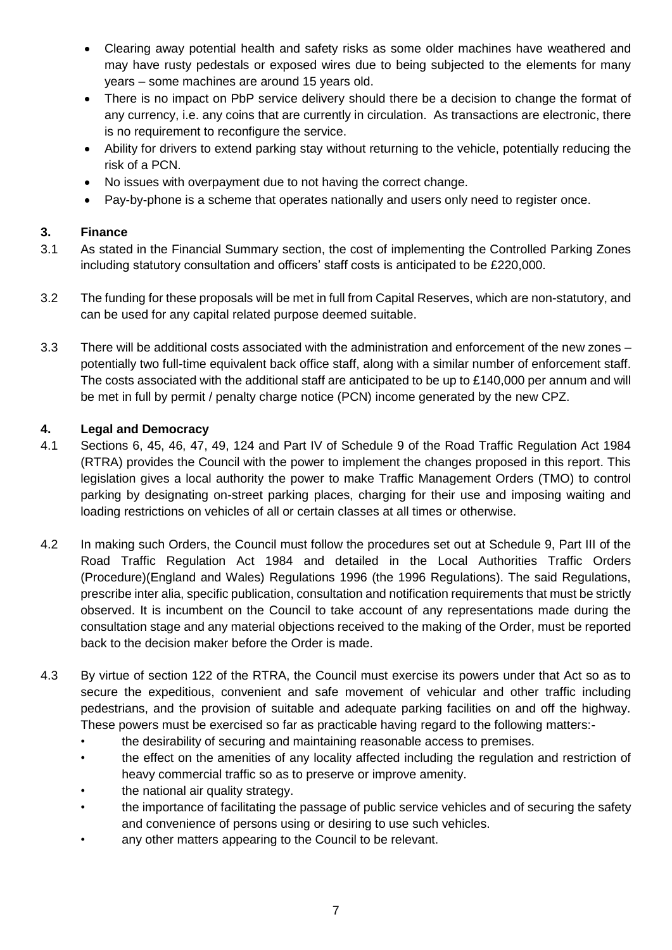- Clearing away potential health and safety risks as some older machines have weathered and may have rusty pedestals or exposed wires due to being subjected to the elements for many years – some machines are around 15 years old.
- There is no impact on PbP service delivery should there be a decision to change the format of any currency, i.e. any coins that are currently in circulation. As transactions are electronic, there is no requirement to reconfigure the service.
- Ability for drivers to extend parking stay without returning to the vehicle, potentially reducing the risk of a PCN.
- No issues with overpayment due to not having the correct change.
- Pay-by-phone is a scheme that operates nationally and users only need to register once.

# **3. Finance**

- 3.1 As stated in the Financial Summary section, the cost of implementing the Controlled Parking Zones including statutory consultation and officers' staff costs is anticipated to be £220,000.
- 3.2 The funding for these proposals will be met in full from Capital Reserves, which are non-statutory, and can be used for any capital related purpose deemed suitable.
- 3.3 There will be additional costs associated with the administration and enforcement of the new zones potentially two full-time equivalent back office staff, along with a similar number of enforcement staff. The costs associated with the additional staff are anticipated to be up to £140,000 per annum and will be met in full by permit / penalty charge notice (PCN) income generated by the new CPZ.

## **4. Legal and Democracy**

- 4.1 Sections 6, 45, 46, 47, 49, 124 and Part IV of Schedule 9 of the Road Traffic Regulation Act 1984 (RTRA) provides the Council with the power to implement the changes proposed in this report. This legislation gives a local authority the power to make Traffic Management Orders (TMO) to control parking by designating on-street parking places, charging for their use and imposing waiting and loading restrictions on vehicles of all or certain classes at all times or otherwise.
- 4.2 In making such Orders, the Council must follow the procedures set out at Schedule 9, Part III of the Road Traffic Regulation Act 1984 and detailed in the Local Authorities Traffic Orders (Procedure)(England and Wales) Regulations 1996 (the 1996 Regulations). The said Regulations, prescribe inter alia, specific publication, consultation and notification requirements that must be strictly observed. It is incumbent on the Council to take account of any representations made during the consultation stage and any material objections received to the making of the Order, must be reported back to the decision maker before the Order is made.
- 4.3 By virtue of section 122 of the RTRA, the Council must exercise its powers under that Act so as to secure the expeditious, convenient and safe movement of vehicular and other traffic including pedestrians, and the provision of suitable and adequate parking facilities on and off the highway. These powers must be exercised so far as practicable having regard to the following matters:-
	- the desirability of securing and maintaining reasonable access to premises.
	- the effect on the amenities of any locality affected including the regulation and restriction of heavy commercial traffic so as to preserve or improve amenity.
	- the national air quality strategy.
	- the importance of facilitating the passage of public service vehicles and of securing the safety and convenience of persons using or desiring to use such vehicles.
	- any other matters appearing to the Council to be relevant.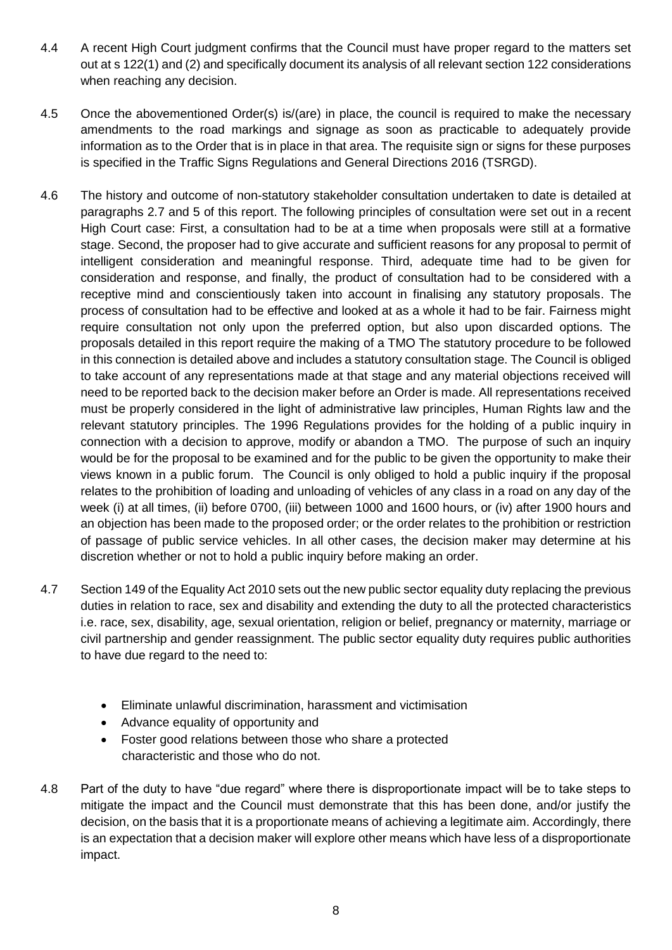- 4.4 A recent High Court judgment confirms that the Council must have proper regard to the matters set out at s 122(1) and (2) and specifically document its analysis of all relevant section 122 considerations when reaching any decision.
- 4.5 Once the abovementioned Order(s) is/(are) in place, the council is required to make the necessary amendments to the road markings and signage as soon as practicable to adequately provide information as to the Order that is in place in that area. The requisite sign or signs for these purposes is specified in the Traffic Signs Regulations and General Directions 2016 (TSRGD).
- 4.6 The history and outcome of non-statutory stakeholder consultation undertaken to date is detailed at paragraphs 2.7 and 5 of this report. The following principles of consultation were set out in a recent High Court case: First, a consultation had to be at a time when proposals were still at a formative stage. Second, the proposer had to give accurate and sufficient reasons for any proposal to permit of intelligent consideration and meaningful response. Third, adequate time had to be given for consideration and response, and finally, the product of consultation had to be considered with a receptive mind and conscientiously taken into account in finalising any statutory proposals. The process of consultation had to be effective and looked at as a whole it had to be fair. Fairness might require consultation not only upon the preferred option, but also upon discarded options. The proposals detailed in this report require the making of a TMO The statutory procedure to be followed in this connection is detailed above and includes a statutory consultation stage. The Council is obliged to take account of any representations made at that stage and any material objections received will need to be reported back to the decision maker before an Order is made. All representations received must be properly considered in the light of administrative law principles, Human Rights law and the relevant statutory principles. The 1996 Regulations provides for the holding of a public inquiry in connection with a decision to approve, modify or abandon a TMO. The purpose of such an inquiry would be for the proposal to be examined and for the public to be given the opportunity to make their views known in a public forum. The Council is only obliged to hold a public inquiry if the proposal relates to the prohibition of loading and unloading of vehicles of any class in a road on any day of the week (i) at all times, (ii) before 0700, (iii) between 1000 and 1600 hours, or (iv) after 1900 hours and an objection has been made to the proposed order; or the order relates to the prohibition or restriction of passage of public service vehicles. In all other cases, the decision maker may determine at his discretion whether or not to hold a public inquiry before making an order.
- 4.7 Section 149 of the Equality Act 2010 sets out the new public sector equality duty replacing the previous duties in relation to race, sex and disability and extending the duty to all the protected characteristics i.e. race, sex, disability, age, sexual orientation, religion or belief, pregnancy or maternity, marriage or civil partnership and gender reassignment. The public sector equality duty requires public authorities to have due regard to the need to:
	- Eliminate unlawful discrimination, harassment and victimisation
	- Advance equality of opportunity and
	- Foster good relations between those who share a protected characteristic and those who do not.
- 4.8 Part of the duty to have "due regard" where there is disproportionate impact will be to take steps to mitigate the impact and the Council must demonstrate that this has been done, and/or justify the decision, on the basis that it is a proportionate means of achieving a legitimate aim. Accordingly, there is an expectation that a decision maker will explore other means which have less of a disproportionate impact.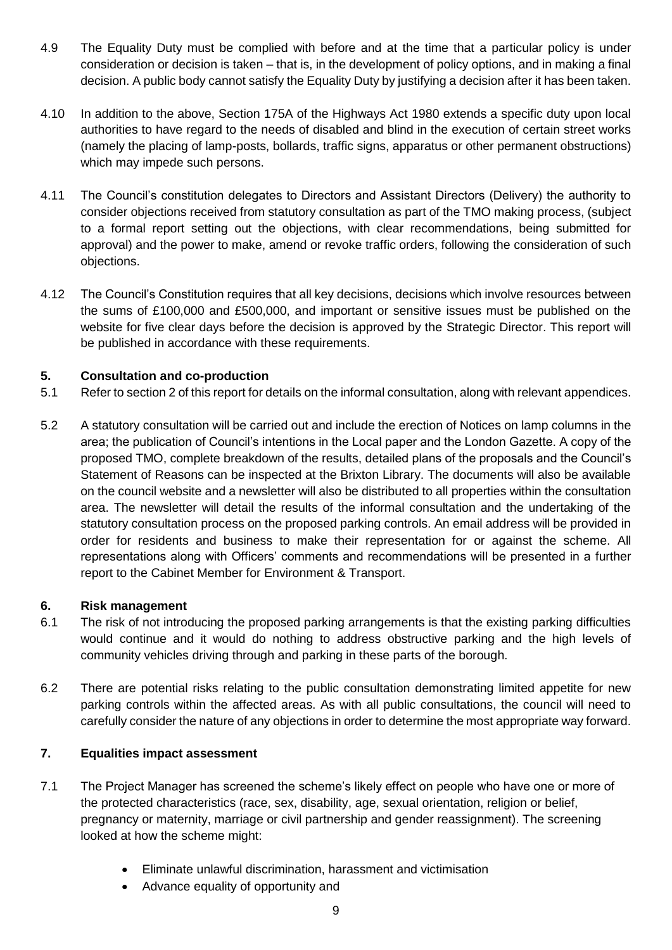- 4.9 The Equality Duty must be complied with before and at the time that a particular policy is under consideration or decision is taken – that is, in the development of policy options, and in making a final decision. A public body cannot satisfy the Equality Duty by justifying a decision after it has been taken.
- 4.10 In addition to the above, Section 175A of the Highways Act 1980 extends a specific duty upon local authorities to have regard to the needs of disabled and blind in the execution of certain street works (namely the placing of lamp-posts, bollards, traffic signs, apparatus or other permanent obstructions) which may impede such persons.
- 4.11 The Council's constitution delegates to Directors and Assistant Directors (Delivery) the authority to consider objections received from statutory consultation as part of the TMO making process, (subject to a formal report setting out the objections, with clear recommendations, being submitted for approval) and the power to make, amend or revoke traffic orders, following the consideration of such objections.
- 4.12 The Council's Constitution requires that all key decisions, decisions which involve resources between the sums of £100,000 and £500,000, and important or sensitive issues must be published on the website for five clear days before the decision is approved by the Strategic Director. This report will be published in accordance with these requirements.

# **5. Consultation and co-production**

- 5.1 Refer to section 2 of this report for details on the informal consultation, along with relevant appendices.
- 5.2 A statutory consultation will be carried out and include the erection of Notices on lamp columns in the area; the publication of Council's intentions in the Local paper and the London Gazette. A copy of the proposed TMO, complete breakdown of the results, detailed plans of the proposals and the Council's Statement of Reasons can be inspected at the Brixton Library. The documents will also be available on the council website and a newsletter will also be distributed to all properties within the consultation area. The newsletter will detail the results of the informal consultation and the undertaking of the statutory consultation process on the proposed parking controls. An email address will be provided in order for residents and business to make their representation for or against the scheme. All representations along with Officers' comments and recommendations will be presented in a further report to the Cabinet Member for Environment & Transport.

#### **6. Risk management**

- 6.1 The risk of not introducing the proposed parking arrangements is that the existing parking difficulties would continue and it would do nothing to address obstructive parking and the high levels of community vehicles driving through and parking in these parts of the borough.
- 6.2 There are potential risks relating to the public consultation demonstrating limited appetite for new parking controls within the affected areas. As with all public consultations, the council will need to carefully consider the nature of any objections in order to determine the most appropriate way forward.

#### **7. Equalities impact assessment**

- 7.1 The Project Manager has screened the scheme's likely effect on people who have one or more of the protected characteristics (race, sex, disability, age, sexual orientation, religion or belief, pregnancy or maternity, marriage or civil partnership and gender reassignment). The screening looked at how the scheme might:
	- Eliminate unlawful discrimination, harassment and victimisation
	- Advance equality of opportunity and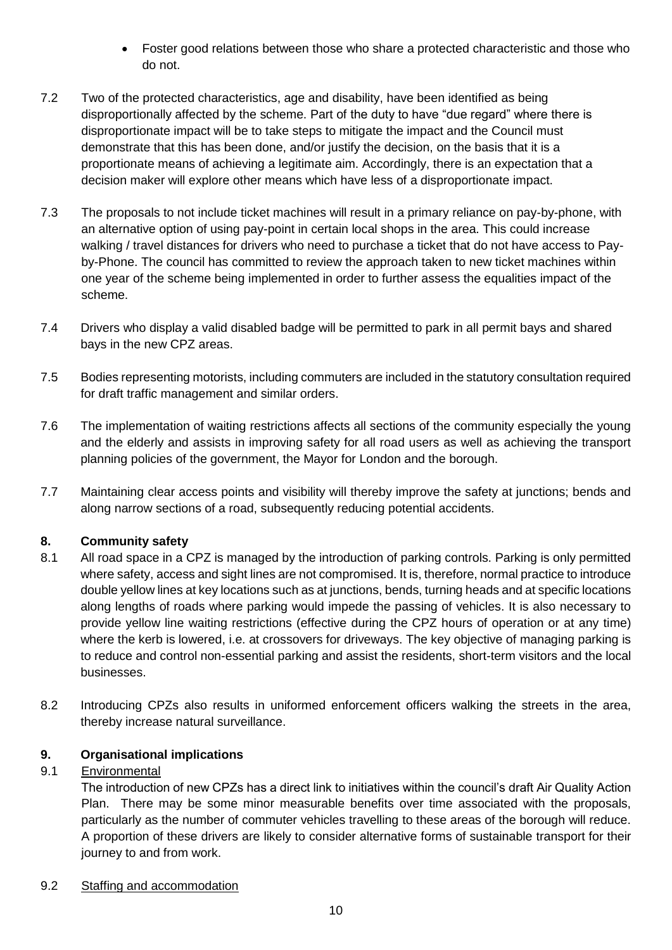- Foster good relations between those who share a protected characteristic and those who do not.
- 7.2 Two of the protected characteristics, age and disability, have been identified as being disproportionally affected by the scheme. Part of the duty to have "due regard" where there is disproportionate impact will be to take steps to mitigate the impact and the Council must demonstrate that this has been done, and/or justify the decision, on the basis that it is a proportionate means of achieving a legitimate aim. Accordingly, there is an expectation that a decision maker will explore other means which have less of a disproportionate impact.
- 7.3 The proposals to not include ticket machines will result in a primary reliance on pay-by-phone, with an alternative option of using pay-point in certain local shops in the area. This could increase walking / travel distances for drivers who need to purchase a ticket that do not have access to Payby-Phone. The council has committed to review the approach taken to new ticket machines within one year of the scheme being implemented in order to further assess the equalities impact of the scheme.
- 7.4 Drivers who display a valid disabled badge will be permitted to park in all permit bays and shared bays in the new CPZ areas.
- 7.5 Bodies representing motorists, including commuters are included in the statutory consultation required for draft traffic management and similar orders.
- 7.6 The implementation of waiting restrictions affects all sections of the community especially the young and the elderly and assists in improving safety for all road users as well as achieving the transport planning policies of the government, the Mayor for London and the borough.
- 7.7 Maintaining clear access points and visibility will thereby improve the safety at junctions; bends and along narrow sections of a road, subsequently reducing potential accidents.

# **8. Community safety**

- 8.1 All road space in a CPZ is managed by the introduction of parking controls. Parking is only permitted where safety, access and sight lines are not compromised. It is, therefore, normal practice to introduce double yellow lines at key locations such as at junctions, bends, turning heads and at specific locations along lengths of roads where parking would impede the passing of vehicles. It is also necessary to provide yellow line waiting restrictions (effective during the CPZ hours of operation or at any time) where the kerb is lowered, i.e. at crossovers for driveways. The key objective of managing parking is to reduce and control non-essential parking and assist the residents, short-term visitors and the local businesses.
- 8.2 Introducing CPZs also results in uniformed enforcement officers walking the streets in the area, thereby increase natural surveillance.

# **9. Organisational implications**

# 9.1 Environmental

The introduction of new CPZs has a direct link to initiatives within the council's draft Air Quality Action Plan. There may be some minor measurable benefits over time associated with the proposals, particularly as the number of commuter vehicles travelling to these areas of the borough will reduce. A proportion of these drivers are likely to consider alternative forms of sustainable transport for their journey to and from work.

#### 9.2 Staffing and accommodation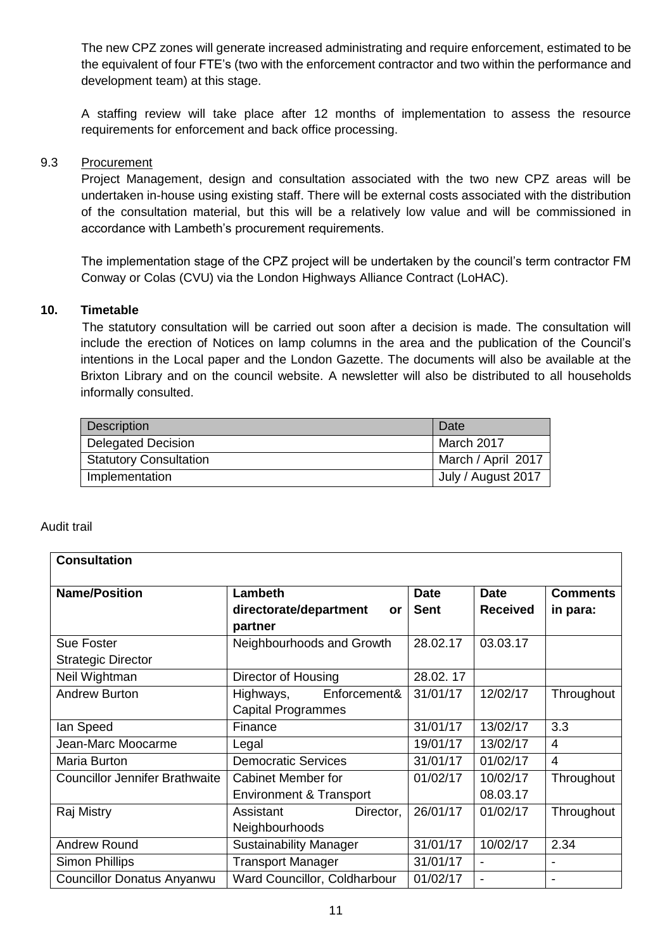The new CPZ zones will generate increased administrating and require enforcement, estimated to be the equivalent of four FTE's (two with the enforcement contractor and two within the performance and development team) at this stage.

A staffing review will take place after 12 months of implementation to assess the resource requirements for enforcement and back office processing.

#### 9.3 Procurement

Project Management, design and consultation associated with the two new CPZ areas will be undertaken in-house using existing staff. There will be external costs associated with the distribution of the consultation material, but this will be a relatively low value and will be commissioned in accordance with Lambeth's procurement requirements.

The implementation stage of the CPZ project will be undertaken by the council's term contractor FM Conway or Colas (CVU) via the London Highways Alliance Contract (LoHAC).

#### **10. Timetable**

 The statutory consultation will be carried out soon after a decision is made. The consultation will include the erection of Notices on lamp columns in the area and the publication of the Council's intentions in the Local paper and the London Gazette. The documents will also be available at the Brixton Library and on the council website. A newsletter will also be distributed to all households informally consulted.

| <b>Description</b>            | Date               |
|-------------------------------|--------------------|
| <b>Delegated Decision</b>     | March 2017         |
| <b>Statutory Consultation</b> | March / April 2017 |
| Implementation                | July / August 2017 |

#### Audit trail

| <b>Consultation</b>                   |                                                           |                            |                                |                             |
|---------------------------------------|-----------------------------------------------------------|----------------------------|--------------------------------|-----------------------------|
| <b>Name/Position</b>                  | <b>Lambeth</b><br>directorate/department<br>or<br>partner | <b>Date</b><br><b>Sent</b> | <b>Date</b><br><b>Received</b> | <b>Comments</b><br>in para: |
| <b>Sue Foster</b>                     | Neighbourhoods and Growth                                 | 28.02.17                   | 03.03.17                       |                             |
| <b>Strategic Director</b>             |                                                           |                            |                                |                             |
| Neil Wightman                         | Director of Housing                                       | 28.02.17                   |                                |                             |
| <b>Andrew Burton</b>                  | Enforcement&<br>Highways,                                 | 31/01/17                   | 12/02/17                       | Throughout                  |
|                                       | <b>Capital Programmes</b>                                 |                            |                                |                             |
| lan Speed                             | Finance                                                   | 31/01/17                   | 13/02/17                       | 3.3                         |
| Jean-Marc Moocarme                    | Legal                                                     | 19/01/17                   | 13/02/17                       | $\overline{4}$              |
| Maria Burton                          | <b>Democratic Services</b>                                | 31/01/17                   | 01/02/17                       | $\overline{4}$              |
| <b>Councillor Jennifer Brathwaite</b> | <b>Cabinet Member for</b>                                 | 01/02/17                   | 10/02/17                       | Throughout                  |
|                                       | Environment & Transport                                   |                            | 08.03.17                       |                             |
| Raj Mistry                            | Assistant<br>Director,                                    | 26/01/17                   | 01/02/17                       | Throughout                  |
|                                       | Neighbourhoods                                            |                            |                                |                             |
| <b>Andrew Round</b>                   | <b>Sustainability Manager</b>                             | 31/01/17                   | 10/02/17                       | 2.34                        |
| <b>Simon Phillips</b>                 | <b>Transport Manager</b>                                  | 31/01/17                   | $\blacksquare$                 |                             |
| <b>Councillor Donatus Anyanwu</b>     | Ward Councillor, Coldharbour                              | 01/02/17                   | $\blacksquare$                 |                             |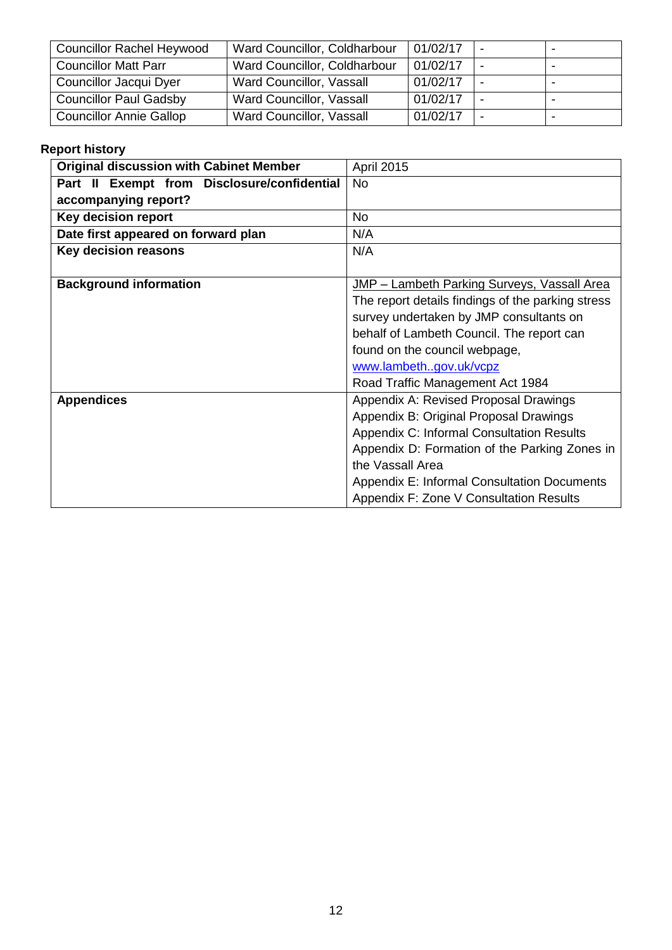| <b>Councillor Rachel Heywood</b> | Ward Councillor, Coldharbour | 01/02/17 |   |  |
|----------------------------------|------------------------------|----------|---|--|
| <b>Councillor Matt Parr</b>      | Ward Councillor, Coldharbour | 01/02/17 |   |  |
| Councillor Jacqui Dyer           | Ward Councillor, Vassall     | 01/02/17 |   |  |
| <b>Councillor Paul Gadsby</b>    | Ward Councillor, Vassall     | 01/02/17 | ۰ |  |
| <b>Councillor Annie Gallop</b>   | Ward Councillor, Vassall     | 01/02/17 |   |  |

# **Report history**

| <b>Original discussion with Cabinet Member</b> | <b>April 2015</b>                                  |
|------------------------------------------------|----------------------------------------------------|
| Part II Exempt from Disclosure/confidential    | <b>No</b>                                          |
| accompanying report?                           |                                                    |
| <b>Key decision report</b>                     | <b>No</b>                                          |
| Date first appeared on forward plan            | N/A                                                |
| Key decision reasons                           | N/A                                                |
|                                                |                                                    |
| <b>Background information</b>                  | JMP - Lambeth Parking Surveys, Vassall Area        |
|                                                | The report details findings of the parking stress  |
|                                                | survey undertaken by JMP consultants on            |
|                                                | behalf of Lambeth Council. The report can          |
|                                                | found on the council webpage,                      |
|                                                | www.lambethgov.uk/vcpz                             |
|                                                | Road Traffic Management Act 1984                   |
| <b>Appendices</b>                              | Appendix A: Revised Proposal Drawings              |
|                                                | Appendix B: Original Proposal Drawings             |
|                                                | Appendix C: Informal Consultation Results          |
|                                                | Appendix D: Formation of the Parking Zones in      |
|                                                | the Vassall Area                                   |
|                                                | <b>Appendix E: Informal Consultation Documents</b> |
|                                                | Appendix F: Zone V Consultation Results            |